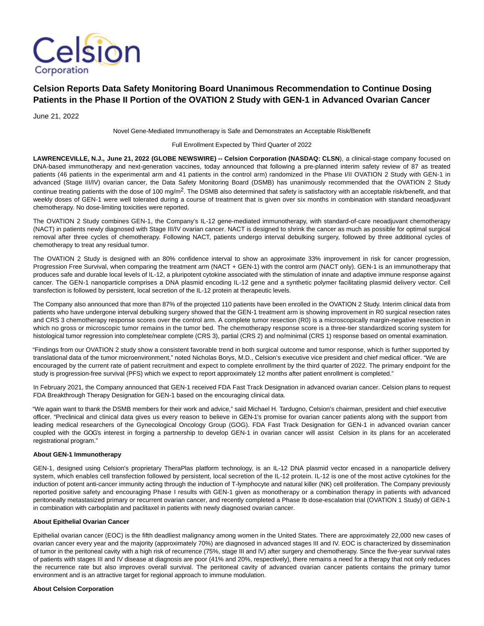

# **Celsion Reports Data Safety Monitoring Board Unanimous Recommendation to Continue Dosing Patients in the Phase II Portion of the OVATION 2 Study with GEN-1 in Advanced Ovarian Cancer**

June 21, 2022

Novel Gene-Mediated Immunotherapy is Safe and Demonstrates an Acceptable Risk/Benefit

Full Enrollment Expected by Third Quarter of 2022

LAWRENCEVILLE, N.J., June 21, 2022 (GLOBE NEWSWIRE) -- Celsion Corporation (NASDAQ: CLSN), a clinical-stage company focused on DNA-based immunotherapy and next-generation vaccines, today announced that following a pre-planned interim safety review of 87 as treated patients (46 patients in the experimental arm and 41 patients in the control arm) randomized in the Phase I/II OVATION 2 Study with GEN-1 in advanced (Stage III/IV) ovarian cancer, the Data Safety Monitoring Board (DSMB) has unanimously recommended that the OVATION 2 Study continue treating patients with the dose of 100 mg/m<sup>2</sup>. The DSMB also determined that safety is satisfactory with an acceptable risk/benefit, and that weekly doses of GEN-1 were well tolerated during a course of treatment that is given over six months in combination with standard neoadjuvant chemotherapy. No dose-limiting toxicities were reported.

The OVATION 2 Study combines GEN-1, the Company's IL-12 gene-mediated immunotherapy, with standard-of-care neoadjuvant chemotherapy (NACT) in patients newly diagnosed with Stage III/IV ovarian cancer. NACT is designed to shrink the cancer as much as possible for optimal surgical removal after three cycles of chemotherapy. Following NACT, patients undergo interval debulking surgery, followed by three additional cycles of chemotherapy to treat any residual tumor.

The OVATION 2 Study is designed with an 80% confidence interval to show an approximate 33% improvement in risk for cancer progression, Progression Free Survival, when comparing the treatment arm (NACT + GEN-1) with the control arm (NACT only). GEN-1 is an immunotherapy that produces safe and durable local levels of IL-12, a pluripotent cytokine associated with the stimulation of innate and adaptive immune response against cancer. The GEN-1 nanoparticle comprises a DNA plasmid encoding IL-12 gene and a synthetic polymer facilitating plasmid delivery vector. Cell transfection is followed by persistent, local secretion of the IL-12 protein at therapeutic levels.

The Company also announced that more than 87% of the projected 110 patients have been enrolled in the OVATION 2 Study. Interim clinical data from patients who have undergone interval debulking surgery showed that the GEN-1 treatment arm is showing improvement in R0 surgical resection rates and CRS 3 chemotherapy response scores over the control arm. A complete tumor resection (R0) is a microscopically margin-negative resection in which no gross or microscopic tumor remains in the tumor bed. The chemotherapy response score is a three-tier standardized scoring system for histological tumor regression into complete/near complete (CRS 3), partial (CRS 2) and no/minimal (CRS 1) response based on omental examination.

"Findings from our OVATION 2 study show a consistent favorable trend in both surgical outcome and tumor response, which is further supported by translational data of the tumor microenvironment," noted Nicholas Borys, M.D., Celsion's executive vice president and chief medical officer. "We are encouraged by the current rate of patient recruitment and expect to complete enrollment by the third quarter of 2022. The primary endpoint for the study is progression-free survival (PFS) which we expect to report approximately 12 months after patient enrollment is completed."

In February 2021, the Company announced that GEN-1 received FDA Fast Track Designation in advanced ovarian cancer. Celsion plans to request FDA Breakthrough Therapy Designation for GEN-1 based on the encouraging clinical data.

"We again want to thank the DSMB members for their work and advice," said Michael H. Tardugno, Celsion's chairman, president and chief executive officer. "Preclinical and clinical data gives us every reason to believe in GEN-1's promise for ovarian cancer patients along with the support from leading medical researchers of the Gynecological Oncology Group (GOG). FDA Fast Track Designation for GEN-1 in advanced ovarian cancer coupled with the GOG's interest in forging a partnership to develop GEN-1 in ovarian cancer will assist Celsion in its plans for an accelerated registrational program."

### **About GEN-1 Immunotherapy**

GEN-1, designed using Celsion's proprietary TheraPlas platform technology, is an IL-12 DNA plasmid vector encased in a nanoparticle delivery system, which enables cell transfection followed by persistent, local secretion of the IL-12 protein. IL-12 is one of the most active cytokines for the induction of potent anti-cancer immunity acting through the induction of T-lymphocyte and natural killer (NK) cell proliferation. The Company previously reported positive safety and encouraging Phase I results with GEN-1 given as monotherapy or a combination therapy in patients with advanced peritoneally metastasized primary or recurrent ovarian cancer, and recently completed a Phase Ib dose-escalation trial (OVATION 1 Study) of GEN-1 in combination with carboplatin and paclitaxel in patients with newly diagnosed ovarian cancer.

## **About Epithelial Ovarian Cancer**

Epithelial ovarian cancer (EOC) is the fifth deadliest malignancy among women in the United States. There are approximately 22,000 new cases of ovarian cancer every year and the majority (approximately 70%) are diagnosed in advanced stages III and IV. EOC is characterized by dissemination of tumor in the peritoneal cavity with a high risk of recurrence (75%, stage III and IV) after surgery and chemotherapy. Since the five-year survival rates of patients with stages III and IV disease at diagnosis are poor (41% and 20%, respectively), there remains a need for a therapy that not only reduces the recurrence rate but also improves overall survival. The peritoneal cavity of advanced ovarian cancer patients contains the primary tumor environment and is an attractive target for regional approach to immune modulation.

### **About Celsion Corporation**